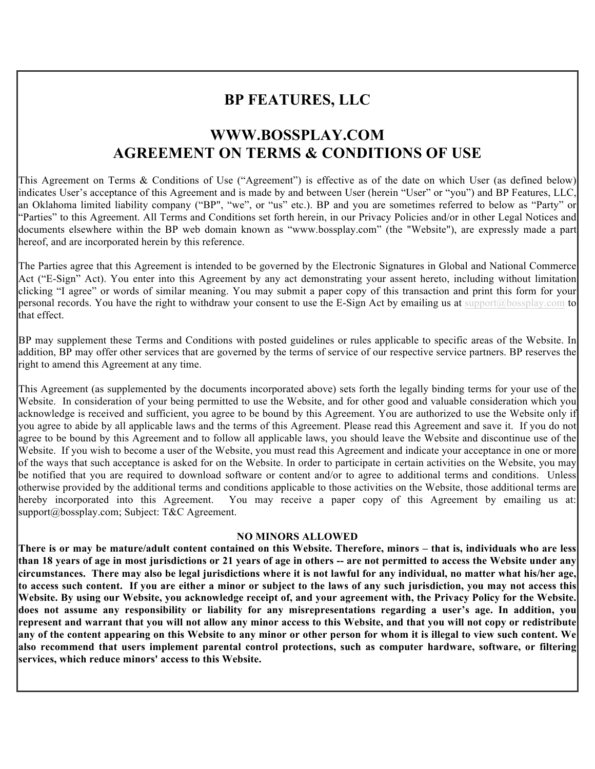# **BP FEATURES, LLC**

# **WWW.BOSSPLAY.COM AGREEMENT ON TERMS & CONDITIONS OF USE**

This Agreement on Terms & Conditions of Use ("Agreement") is effective as of the date on which User (as defined below) indicates User's acceptance of this Agreement and is made by and between User (herein "User" or "you") and BP Features, LLC, an Oklahoma limited liability company ("BP", "we", or "us" etc.). BP and you are sometimes referred to below as "Party" or "Parties" to this Agreement. All Terms and Conditions set forth herein, in our Privacy Policies and/or in other Legal Notices and documents elsewhere within the BP web domain known as "www.bossplay.com" (the "Website"), are expressly made a part hereof, and are incorporated herein by this reference.

The Parties agree that this Agreement is intended to be governed by the Electronic Signatures in Global and National Commerce Act ("E-Sign" Act). You enter into this Agreement by any act demonstrating your assent hereto, including without limitation clicking "I agree" or words of similar meaning. You may submit a paper copy of this transaction and print this form for your personal records. You have the right to withdraw your consent to use the E-Sign Act by emailing us at support@bossplay.com to that effect.

BP may supplement these Terms and Conditions with posted guidelines or rules applicable to specific areas of the Website. In addition, BP may offer other services that are governed by the terms of service of our respective service partners. BP reserves the right to amend this Agreement at any time.

This Agreement (as supplemented by the documents incorporated above) sets forth the legally binding terms for your use of the Website. In consideration of your being permitted to use the Website, and for other good and valuable consideration which you acknowledge is received and sufficient, you agree to be bound by this Agreement. You are authorized to use the Website only if you agree to abide by all applicable laws and the terms of this Agreement. Please read this Agreement and save it. If you do not agree to be bound by this Agreement and to follow all applicable laws, you should leave the Website and discontinue use of the Website. If you wish to become a user of the Website, you must read this Agreement and indicate your acceptance in one or more of the ways that such acceptance is asked for on the Website. In order to participate in certain activities on the Website, you may be notified that you are required to download software or content and/or to agree to additional terms and conditions. Unless otherwise provided by the additional terms and conditions applicable to those activities on the Website, those additional terms are hereby incorporated into this Agreement. You may receive a paper copy of this Agreement by emailing us at: support@bossplay.com; Subject: T&C Agreement.

#### **NO MINORS ALLOWED**

**There is or may be mature/adult content contained on this Website. Therefore, minors – that is, individuals who are less than 18 years of age in most jurisdictions or 21 years of age in others -- are not permitted to access the Website under any circumstances. There may also be legal jurisdictions where it is not lawful for any individual, no matter what his/her age, to access such content. If you are either a minor or subject to the laws of any such jurisdiction, you may not access this Website. By using our Website, you acknowledge receipt of, and your agreement with, the Privacy Policy for the Website. does not assume any responsibility or liability for any misrepresentations regarding a user's age. In addition, you represent and warrant that you will not allow any minor access to this Website, and that you will not copy or redistribute any of the content appearing on this Website to any minor or other person for whom it is illegal to view such content. We also recommend that users implement parental control protections, such as computer hardware, software, or filtering services, which reduce minors' access to this Website.**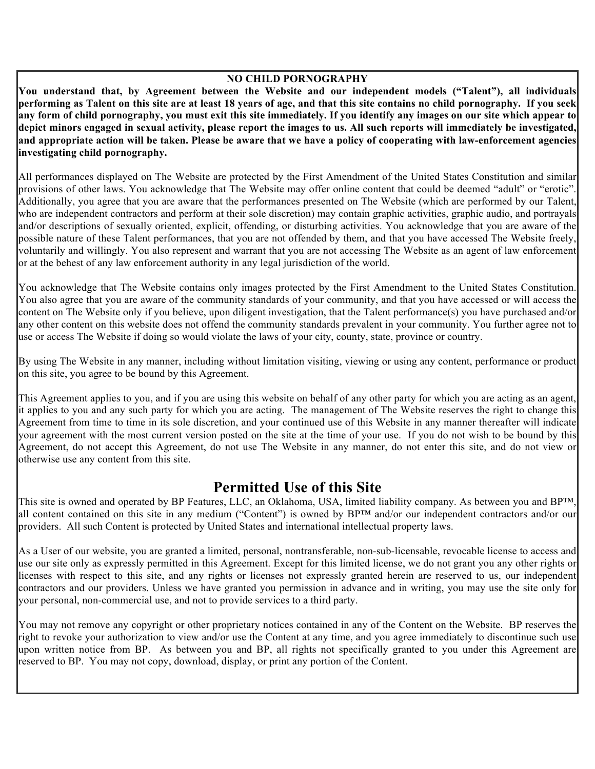#### **NO CHILD PORNOGRAPHY**

**You understand that, by Agreement between the Website and our independent models ("Talent"), all individuals performing as Talent on this site are at least 18 years of age, and that this site contains no child pornography. If you seek any form of child pornography, you must exit this site immediately. If you identify any images on our site which appear to depict minors engaged in sexual activity, please report the images to us. All such reports will immediately be investigated, and appropriate action will be taken. Please be aware that we have a policy of cooperating with law-enforcement agencies investigating child pornography.** 

All performances displayed on The Website are protected by the First Amendment of the United States Constitution and similar provisions of other laws. You acknowledge that The Website may offer online content that could be deemed "adult" or "erotic". Additionally, you agree that you are aware that the performances presented on The Website (which are performed by our Talent, who are independent contractors and perform at their sole discretion) may contain graphic activities, graphic audio, and portrayals and/or descriptions of sexually oriented, explicit, offending, or disturbing activities. You acknowledge that you are aware of the possible nature of these Talent performances, that you are not offended by them, and that you have accessed The Website freely, voluntarily and willingly. You also represent and warrant that you are not accessing The Website as an agent of law enforcement or at the behest of any law enforcement authority in any legal jurisdiction of the world.

You acknowledge that The Website contains only images protected by the First Amendment to the United States Constitution. You also agree that you are aware of the community standards of your community, and that you have accessed or will access the content on The Website only if you believe, upon diligent investigation, that the Talent performance(s) you have purchased and/or any other content on this website does not offend the community standards prevalent in your community. You further agree not to use or access The Website if doing so would violate the laws of your city, county, state, province or country.

By using The Website in any manner, including without limitation visiting, viewing or using any content, performance or product on this site, you agree to be bound by this Agreement.

1. This Agreement applies to you, and if you are using this website on behalf of any other party for which you are acting as an agent, it applies to you and any such party for which you are acting. The management of The Website reserves the right to change this Agreement from time to time in its sole discretion, and your continued use of this Website in any manner thereafter will indicate your agreement with the most current version posted on the site at the time of your use. If you do not wish to be bound by this Agreement, do not accept this Agreement, do not use The Website in any manner, do not enter this site, and do not view or otherwise use any content from this site.

## **Permitted Use of this Site**

3. This site is owned and operated by BP Features, LLC, an Oklahoma, USA, limited liability company. As between you and BP™, all content contained on this site in any medium ("Content") is owned by BP™ and/or our independent contractors and/or our providers. All such Content is protected by United States and international intellectual property laws.

4. As a User of our website, you are granted a limited, personal, nontransferable, non-sub-licensable, revocable license to access and use our site only as expressly permitted in this Agreement. Except for this limited license, we do not grant you any other rights or licenses with respect to this site, and any rights or licenses not expressly granted herein are reserved to us, our independent contractors and our providers. Unless we have granted you permission in advance and in writing, you may use the site only for your personal, non-commercial use, and not to provide services to a third party.

5. You may not remove any copyright or other proprietary notices contained in any of the Content on the Website. BP reserves the right to revoke your authorization to view and/or use the Content at any time, and you agree immediately to discontinue such use upon written notice from BP. As between you and BP, all rights not specifically granted to you under this Agreement are reserved to BP. You may not copy, download, display, or print any portion of the Content.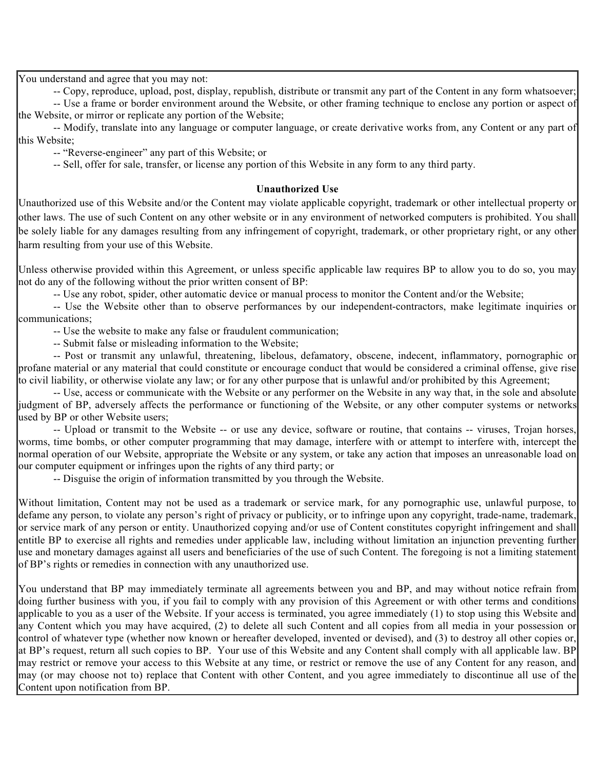You understand and agree that you may not:

-- Copy, reproduce, upload, post, display, republish, distribute or transmit any part of the Content in any form whatsoever;

-- Use a frame or border environment around the Website, or other framing technique to enclose any portion or aspect of the Website, or mirror or replicate any portion of the Website;

-- Modify, translate into any language or computer language, or create derivative works from, any Content or any part of this Website;

-- "Reverse-engineer" any part of this Website; or

-- Sell, offer for sale, transfer, or license any portion of this Website in any form to any third party.

#### **Unauthorized Use**

Unauthorized use of this Website and/or the Content may violate applicable copyright, trademark or other intellectual property or other laws. The use of such Content on any other website or in any environment of networked computers is prohibited. You shall be solely liable for any damages resulting from any infringement of copyright, trademark, or other proprietary right, or any other harm resulting from your use of this Website.

10. Unless otherwise provided within this Agreement, or unless specific applicable law requires BP to allow you to do so, you may not do any of the following without the prior written consent of BP:

-- Use any robot, spider, other automatic device or manual process to monitor the Content and/or the Website;

-- Use the Website other than to observe performances by our independent-contractors, make legitimate inquiries or communications;

-- Use the website to make any false or fraudulent communication;

-- Submit false or misleading information to the Website;

-- Post or transmit any unlawful, threatening, libelous, defamatory, obscene, indecent, inflammatory, pornographic or profane material or any material that could constitute or encourage conduct that would be considered a criminal offense, give rise to civil liability, or otherwise violate any law; or for any other purpose that is unlawful and/or prohibited by this Agreement;

-- Use, access or communicate with the Website or any performer on the Website in any way that, in the sole and absolute judgment of BP, adversely affects the performance or functioning of the Website, or any other computer systems or networks used by BP or other Website users;

-- Upload or transmit to the Website -- or use any device, software or routine, that contains -- viruses, Trojan horses, worms, time bombs, or other computer programming that may damage, interfere with or attempt to interfere with, intercept the normal operation of our Website, appropriate the Website or any system, or take any action that imposes an unreasonable load on our computer equipment or infringes upon the rights of any third party; or

-- Disguise the origin of information transmitted by you through the Website.

Without limitation, Content may not be used as a trademark or service mark, for any pornographic use, unlawful purpose, to defame any person, to violate any person's right of privacy or publicity, or to infringe upon any copyright, trade-name, trademark, or service mark of any person or entity. Unauthorized copying and/or use of Content constitutes copyright infringement and shall entitle BP to exercise all rights and remedies under applicable law, including without limitation an injunction preventing further use and monetary damages against all users and beneficiaries of the use of such Content. The foregoing is not a limiting statement of BP's rights or remedies in connection with any unauthorized use.

13. You understand that BP may immediately terminate all agreements between you and BP, and may without notice refrain from doing further business with you, if you fail to comply with any provision of this Agreement or with other terms and conditions applicable to you as a user of the Website. If your access is terminated, you agree immediately (1) to stop using this Website and any Content which you may have acquired, (2) to delete all such Content and all copies from all media in your possession or control of whatever type (whether now known or hereafter developed, invented or devised), and (3) to destroy all other copies or, at BP's request, return all such copies to BP. Your use of this Website and any Content shall comply with all applicable law. BP may restrict or remove your access to this Website at any time, or restrict or remove the use of any Content for any reason, and may (or may choose not to) replace that Content with other Content, and you agree immediately to discontinue all use of the Content upon notification from BP.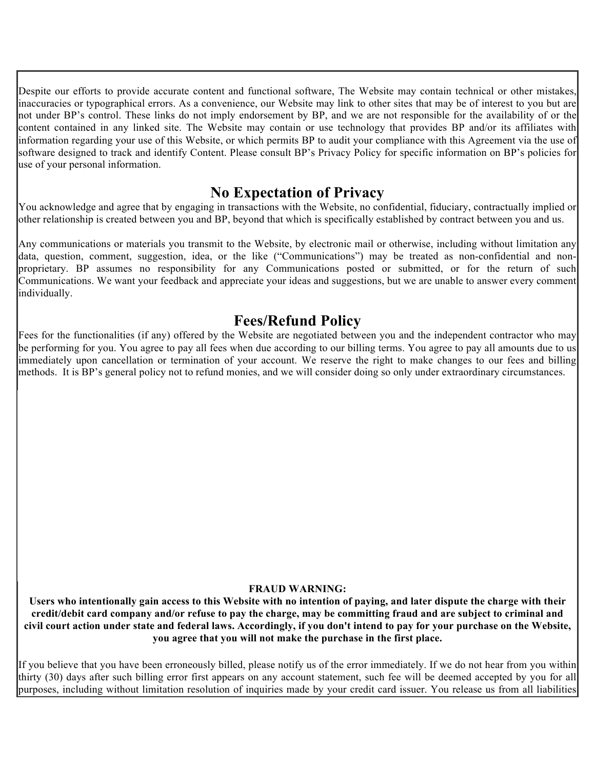Despite our efforts to provide accurate content and functional software, The Website may contain technical or other mistakes, inaccuracies or typographical errors. As a convenience, our Website may link to other sites that may be of interest to you but are not under BP's control. These links do not imply endorsement by BP, and we are not responsible for the availability of or the content contained in any linked site. The Website may contain or use technology that provides BP and/or its affiliates with information regarding your use of this Website, or which permits BP to audit your compliance with this Agreement via the use of software designed to track and identify Content. Please consult BP's Privacy Policy for specific information on BP's policies for use of your personal information.

### **No Expectation of Privacy**

15. You acknowledge and agree that by engaging in transactions with the Website, no confidential, fiduciary, contractually implied or other relationship is created between you and BP, beyond that which is specifically established by contract between you and us.

Any communications or materials you transmit to the Website, by electronic mail or otherwise, including without limitation any data, question, comment, suggestion, idea, or the like ("Communications") may be treated as non-confidential and nonproprietary. BP assumes no responsibility for any Communications posted or submitted, or for the return of such Communications. We want your feedback and appreciate your ideas and suggestions, but we are unable to answer every comment individually.

# **Fees/Refund Policy**

Fees for the functionalities (if any) offered by the Website are negotiated between you and the independent contractor who may be performing for you. You agree to pay all fees when due according to our billing terms. You agree to pay all amounts due to us immediately upon cancellation or termination of your account. We reserve the right to make changes to our fees and billing methods. It is BP's general policy not to refund monies, and we will consider doing so only under extraordinary circumstances.

### **FRAUD WARNING:**

**Users who intentionally gain access to this Website with no intention of paying, and later dispute the charge with their credit/debit card company and/or refuse to pay the charge, may be committing fraud and are subject to criminal and civil court action under state and federal laws. Accordingly, if you don't intend to pay for your purchase on the Website, you agree that you will not make the purchase in the first place.**

If you believe that you have been erroneously billed, please notify us of the error immediately. If we do not hear from you within thirty (30) days after such billing error first appears on any account statement, such fee will be deemed accepted by you for all purposes, including without limitation resolution of inquiries made by your credit card issuer. You release us from all liabilities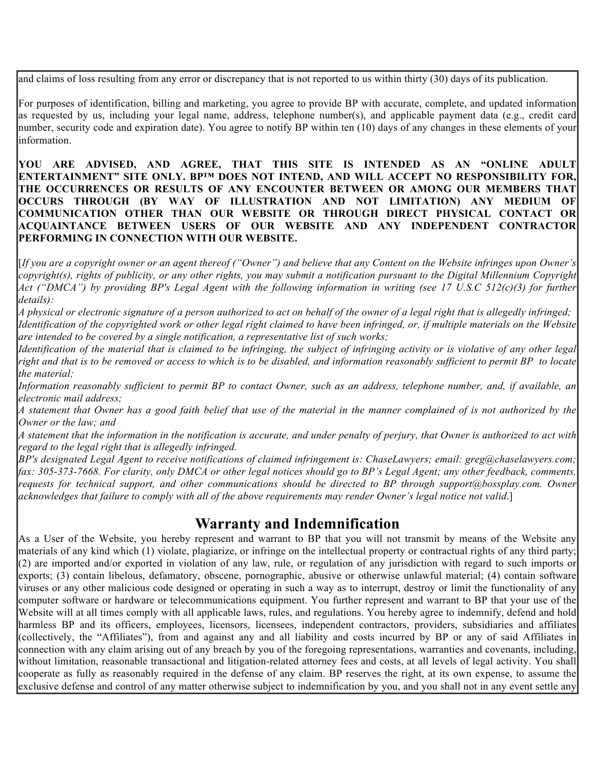and claims of loss resulting from any error or discrepancy that is not reported to us within thirty (30) days of its publication.

17. For purposes of identification, billing and marketing, you agree to provide BP with accurate, complete, and updated information as requested by us, including your legal name, address, telephone number(s), and applicable payment data (e.g., credit card number, security code and expiration date). You agree to notify BP within ten (10) days of any changes in these elements of your information.

**YOU ARE ADVISED, AND AGREE, THAT THIS SITE IS INTENDED AS AN "ONLINE ADULT ENTERTAINMENT" SITE ONLY. BP™ DOES NOT INTEND, AND WILL ACCEPT NO RESPONSIBILITY FOR, THE OCCURRENCES OR RESULTS OF ANY ENCOUNTER BETWEEN OR AMONG OUR MEMBERS THAT OCCURS THROUGH (BY WAY OF ILLUSTRATION AND NOT LIMITATION) ANY MEDIUM OF COMMUNICATION OTHER THAN OUR WEBSITE OR THROUGH DIRECT PHYSICAL CONTACT OR ACQUAINTANCE BETWEEN USERS OF OUR WEBSITE AND ANY INDEPENDENT CONTRACTOR PERFORMING IN CONNECTION WITH OUR WEBSITE.**

[*If you are a copyright owner or an agent thereof ("Owner") and believe that any Content on the Website infringes upon Owner's copyright(s), rights of publicity, or any other rights, you may submit a notification pursuant to the Digital Millennium Copyright Act ("DMCA") by providing BP's Legal Agent with the following information in writing (see 17 U.S.C 512(c)(3) for further details):* 

! *A physical or electronic signature of a person authorized to act on behalf of the owner of a legal right that is allegedly infringed;*  Identification of the copyrighted work or other legal right claimed to have been infringed, or, if multiple materials on the Website *are intended to be covered by a single notification, a representative list of such works;* 

! *Identification of the material that is claimed to be infringing, the subject of infringing activity or is violative of any other legal right and that is to be removed or access to which is to be disabled, and information reasonably sufficient to permit BP to locate the material;* 

! *Information reasonably sufficient to permit BP to contact Owner, such as an address, telephone number, and, if available, an electronic mail address;* 

! *A statement that Owner has a good faith belief that use of the material in the manner complained of is not authorized by the Owner or the law; and* 

! *A statement that the information in the notification is accurate, and under penalty of perjury, that Owner is authorized to act with regard to the legal right that is allegedly infringed.* 

*BP's designated Legal Agent to receive notifications of claimed infringement is: ChaseLawyers; email: greg@chaselawyers.com; fax: 305-373-7668. For clarity, only DMCA or other legal notices should go to BP's Legal Agent; any other feedback, comments, requests for technical support, and other communications should be directed to BP through support@bossplay.com. Owner acknowledges that failure to comply with all of the above requirements may render Owner's legal notice not valid*.]

## **Warranty and Indemnification**

As a User of the Website, you hereby represent and warrant to BP that you will not transmit by means of the Website any materials of any kind which (1) violate, plagiarize, or infringe on the intellectual property or contractual rights of any third party;  $(2)$  are imported and/or exported in violation of any law, rule, or regulation of any jurisdiction with regard to such imports or exports; (3) contain libelous, defamatory, obscene, pornographic, abusive or otherwise unlawful material; (4) contain software viruses or any other malicious code designed or operating in such a way as to interrupt, destroy or limit the functionality of any computer software or hardware or telecommunications equipment. You further represent and warrant to BP that your use of the Website will at all times comply with all applicable laws, rules, and regulations. You hereby agree to indemnify, defend and hold harmless BP and its officers, employees, licensors, licensees, independent contractors, providers, subsidiaries and affiliates (collectively, the "Affiliates"), from and against any and all liability and costs incurred by BP or any of said Affiliates in connection with any claim arising out of any breach by you of the foregoing representations, warranties and covenants, including, without limitation, reasonable transactional and litigation-related attorney fees and costs, at all levels of legal activity. You shall cooperate as fully as reasonably required in the defense of any claim. BP reserves the right, at its own expense, to assume the exclusive defense and control of any matter otherwise subject to indemnification by you, and you shall not in any event settle any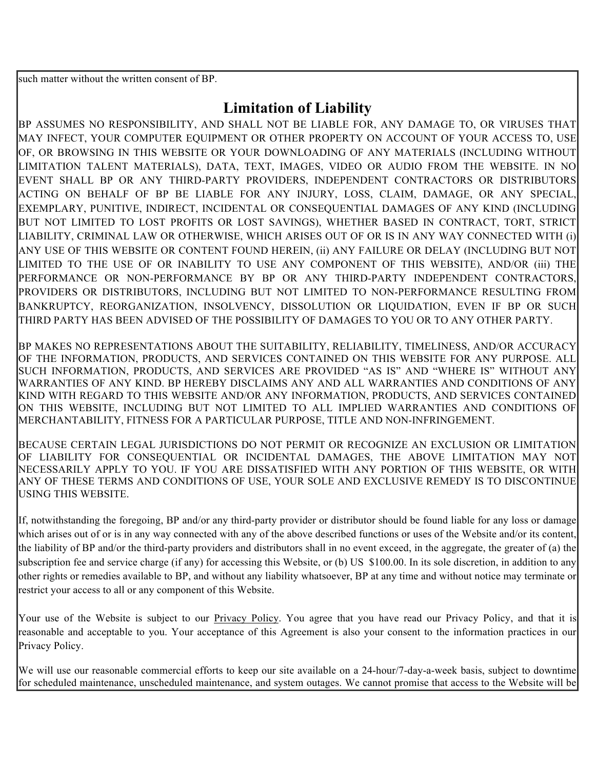such matter without the written consent of BP.

# **Limitation of Liability**

BP ASSUMES NO RESPONSIBILITY, AND SHALL NOT BE LIABLE FOR, ANY DAMAGE TO, OR VIRUSES THAT MAY INFECT, YOUR COMPUTER EQUIPMENT OR OTHER PROPERTY ON ACCOUNT OF YOUR ACCESS TO, USE OF, OR BROWSING IN THIS WEBSITE OR YOUR DOWNLOADING OF ANY MATERIALS (INCLUDING WITHOUT LIMITATION TALENT MATERIALS), DATA, TEXT, IMAGES, VIDEO OR AUDIO FROM THE WEBSITE. IN NO EVENT SHALL BP OR ANY THIRD-PARTY PROVIDERS, INDEPENDENT CONTRACTORS OR DISTRIBUTORS ACTING ON BEHALF OF BP BE LIABLE FOR ANY INJURY, LOSS, CLAIM, DAMAGE, OR ANY SPECIAL, EXEMPLARY, PUNITIVE, INDIRECT, INCIDENTAL OR CONSEQUENTIAL DAMAGES OF ANY KIND (INCLUDING BUT NOT LIMITED TO LOST PROFITS OR LOST SAVINGS), WHETHER BASED IN CONTRACT, TORT, STRICT LIABILITY, CRIMINAL LAW OR OTHERWISE, WHICH ARISES OUT OF OR IS IN ANY WAY CONNECTED WITH (i) ANY USE OF THIS WEBSITE OR CONTENT FOUND HEREIN, (ii) ANY FAILURE OR DELAY (INCLUDING BUT NOT LIMITED TO THE USE OF OR INABILITY TO USE ANY COMPONENT OF THIS WEBSITE), AND/OR (iii) THE PERFORMANCE OR NON-PERFORMANCE BY BP OR ANY THIRD-PARTY INDEPENDENT CONTRACTORS, PROVIDERS OR DISTRIBUTORS, INCLUDING BUT NOT LIMITED TO NON-PERFORMANCE RESULTING FROM BANKRUPTCY, REORGANIZATION, INSOLVENCY, DISSOLUTION OR LIQUIDATION, EVEN IF BP OR SUCH THIRD PARTY HAS BEEN ADVISED OF THE POSSIBILITY OF DAMAGES TO YOU OR TO ANY OTHER PARTY.

3. BP MAKES NO REPRESENTATIONS ABOUT THE SUITABILITY, RELIABILITY, TIMELINESS, AND/OR ACCURACY OF THE INFORMATION, PRODUCTS, AND SERVICES CONTAINED ON THIS WEBSITE FOR ANY PURPOSE. ALL SUCH INFORMATION, PRODUCTS, AND SERVICES ARE PROVIDED "AS IS" AND "WHERE IS" WITHOUT ANY WARRANTIES OF ANY KIND. BP HEREBY DISCLAIMS ANY AND ALL WARRANTIES AND CONDITIONS OF ANY KIND WITH REGARD TO THIS WEBSITE AND/OR ANY INFORMATION, PRODUCTS, AND SERVICES CONTAINED ON THIS WEBSITE, INCLUDING BUT NOT LIMITED TO ALL IMPLIED WARRANTIES AND CONDITIONS OF MERCHANTABILITY, FITNESS FOR A PARTICULAR PURPOSE, TITLE AND NON-INFRINGEMENT.

BECAUSE CERTAIN LEGAL JURISDICTIONS DO NOT PERMIT OR RECOGNIZE AN EXCLUSION OR LIMITATION OF LIABILITY FOR CONSEQUENTIAL OR INCIDENTAL DAMAGES, THE ABOVE LIMITATION MAY NOT NECESSARILY APPLY TO YOU. IF YOU ARE DISSATISFIED WITH ANY PORTION OF THIS WEBSITE, OR WITH ANY OF THESE TERMS AND CONDITIONS OF USE, YOUR SOLE AND EXCLUSIVE REMEDY IS TO DISCONTINUE USING THIS WEBSITE.

16. If, notwithstanding the foregoing, BP and/or any third-party provider or distributor should be found liable for any loss or damage which arises out of or is in any way connected with any of the above described functions or uses of the Website and/or its content, the liability of BP and/or the third-party providers and distributors shall in no event exceed, in the aggregate, the greater of (a) the subscription fee and service charge (if any) for accessing this Website, or (b) US \$100.00. In its sole discretion, in addition to any other rights or remedies available to BP, and without any liability whatsoever, BP at any time and without notice may terminate or restrict your access to all or any component of this Website.

Your use of the Website is subject to our Privacy Policy. You agree that you have read our Privacy Policy, and that it is reasonable and acceptable to you. Your acceptance of this Agreement is also your consent to the information practices in our Privacy Policy.

We will use our reasonable commercial efforts to keep our site available on a 24-hour/7-day-a-week basis, subject to downtime for scheduled maintenance, unscheduled maintenance, and system outages. We cannot promise that access to the Website will be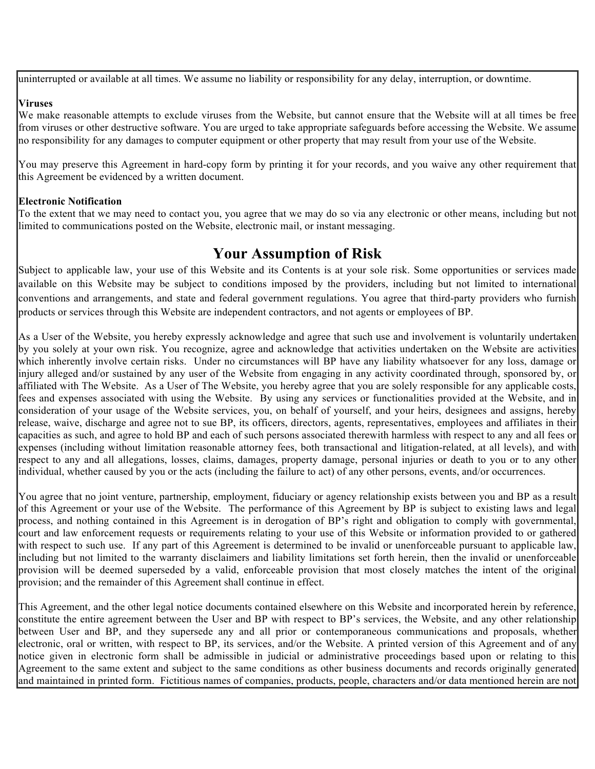uninterrupted or available at all times. We assume no liability or responsibility for any delay, interruption, or downtime.

#### **Viruses**

We make reasonable attempts to exclude viruses from the Website, but cannot ensure that the Website will at all times be free from viruses or other destructive software. You are urged to take appropriate safeguards before accessing the Website. We assume no responsibility for any damages to computer equipment or other property that may result from your use of the Website.

You may preserve this Agreement in hard-copy form by printing it for your records, and you waive any other requirement that this Agreement be evidenced by a written document.

#### **Electronic Notification**

To the extent that we may need to contact you, you agree that we may do so via any electronic or other means, including but not limited to communications posted on the Website, electronic mail, or instant messaging.

### **Your Assumption of Risk**

Subject to applicable law, your use of this Website and its Contents is at your sole risk. Some opportunities or services made available on this Website may be subject to conditions imposed by the providers, including but not limited to international conventions and arrangements, and state and federal government regulations. You agree that third-party providers who furnish products or services through this Website are independent contractors, and not agents or employees of BP.

As a User of the Website, you hereby expressly acknowledge and agree that such use and involvement is voluntarily undertaken by you solely at your own risk. You recognize, agree and acknowledge that activities undertaken on the Website are activities which inherently involve certain risks. Under no circumstances will BP have any liability whatsoever for any loss, damage or injury alleged and/or sustained by any user of the Website from engaging in any activity coordinated through, sponsored by, or affiliated with The Website. As a User of The Website, you hereby agree that you are solely responsible for any applicable costs, fees and expenses associated with using the Website. By using any services or functionalities provided at the Website, and in consideration of your usage of the Website services, you, on behalf of yourself, and your heirs, designees and assigns, hereby release, waive, discharge and agree not to sue BP, its officers, directors, agents, representatives, employees and affiliates in their capacities as such, and agree to hold BP and each of such persons associated therewith harmless with respect to any and all fees or expenses (including without limitation reasonable attorney fees, both transactional and litigation-related, at all levels), and with respect to any and all allegations, losses, claims, damages, property damage, personal injuries or death to you or to any other individual, whether caused by you or the acts (including the failure to act) of any other persons, events, and/or occurrences.

You agree that no joint venture, partnership, employment, fiduciary or agency relationship exists between you and BP as a result of this Agreement or your use of the Website. The performance of this Agreement by BP is subject to existing laws and legal process, and nothing contained in this Agreement is in derogation of BP's right and obligation to comply with governmental, court and law enforcement requests or requirements relating to your use of this Website or information provided to or gathered with respect to such use. If any part of this Agreement is determined to be invalid or unenforceable pursuant to applicable law, including but not limited to the warranty disclaimers and liability limitations set forth herein, then the invalid or unenforceable provision will be deemed superseded by a valid, enforceable provision that most closely matches the intent of the original provision; and the remainder of this Agreement shall continue in effect.

This Agreement, and the other legal notice documents contained elsewhere on this Website and incorporated herein by reference, constitute the entire agreement between the User and BP with respect to BP's services, the Website, and any other relationship between User and BP, and they supersede any and all prior or contemporaneous communications and proposals, whether electronic, oral or written, with respect to BP, its services, and/or the Website. A printed version of this Agreement and of any notice given in electronic form shall be admissible in judicial or administrative proceedings based upon or relating to this Agreement to the same extent and subject to the same conditions as other business documents and records originally generated and maintained in printed form. Fictitious names of companies, products, people, characters and/or data mentioned herein are not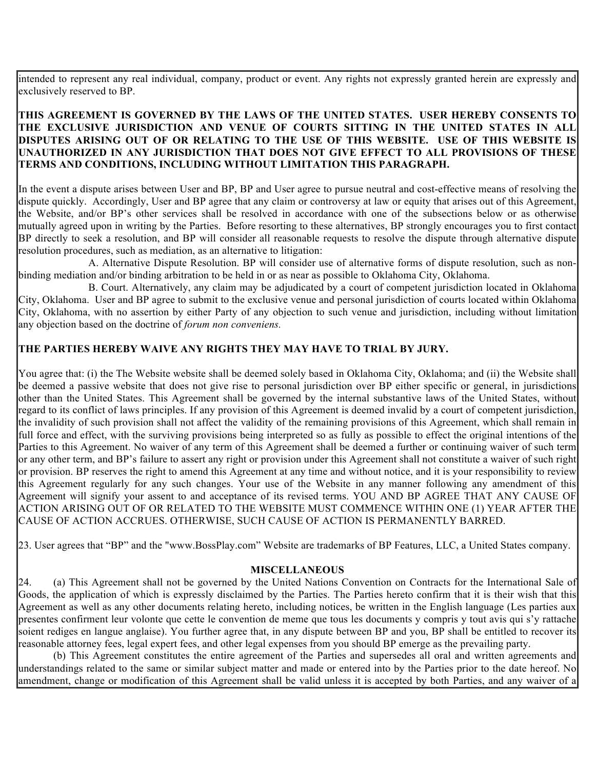intended to represent any real individual, company, product or event. Any rights not expressly granted herein are expressly and exclusively reserved to BP.

### **17. THIS AGREEMENT IS GOVERNED BY THE LAWS OF THE UNITED STATES. USER HEREBY CONSENTS TO THE EXCLUSIVE JURISDICTION AND VENUE OF COURTS SITTING IN THE UNITED STATES IN ALL DISPUTES ARISING OUT OF OR RELATING TO THE USE OF THIS WEBSITE. USE OF THIS WEBSITE IS UNAUTHORIZED IN ANY JURISDICTION THAT DOES NOT GIVE EFFECT TO ALL PROVISIONS OF THESE TERMS AND CONDITIONS, INCLUDING WITHOUT LIMITATION THIS PARAGRAPH.**

In the event a dispute arises between User and BP, BP and User agree to pursue neutral and cost-effective means of resolving the dispute quickly. Accordingly, User and BP agree that any claim or controversy at law or equity that arises out of this Agreement, the Website, and/or BP's other services shall be resolved in accordance with one of the subsections below or as otherwise mutually agreed upon in writing by the Parties. Before resorting to these alternatives, BP strongly encourages you to first contact BP directly to seek a resolution, and BP will consider all reasonable requests to resolve the dispute through alternative dispute resolution procedures, such as mediation, as an alternative to litigation:

A. Alternative Dispute Resolution. BP will consider use of alternative forms of dispute resolution, such as nonbinding mediation and/or binding arbitration to be held in or as near as possible to Oklahoma City, Oklahoma.

B. Court. Alternatively, any claim may be adjudicated by a court of competent jurisdiction located in Oklahoma City, Oklahoma. User and BP agree to submit to the exclusive venue and personal jurisdiction of courts located within Oklahoma City, Oklahoma, with no assertion by either Party of any objection to such venue and jurisdiction, including without limitation any objection based on the doctrine of *forum non conveniens.*

### **THE PARTIES HEREBY WAIVE ANY RIGHTS THEY MAY HAVE TO TRIAL BY JURY.**

You agree that: (i) the The Website website shall be deemed solely based in Oklahoma City, Oklahoma; and (ii) the Website shall be deemed a passive website that does not give rise to personal jurisdiction over BP either specific or general, in jurisdictions other than the United States. This Agreement shall be governed by the internal substantive laws of the United States, without regard to its conflict of laws principles. If any provision of this Agreement is deemed invalid by a court of competent jurisdiction, the invalidity of such provision shall not affect the validity of the remaining provisions of this Agreement, which shall remain in full force and effect, with the surviving provisions being interpreted so as fully as possible to effect the original intentions of the Parties to this Agreement. No waiver of any term of this Agreement shall be deemed a further or continuing waiver of such term or any other term, and BP's failure to assert any right or provision under this Agreement shall not constitute a waiver of such right or provision. BP reserves the right to amend this Agreement at any time and without notice, and it is your responsibility to review this Agreement regularly for any such changes. Your use of the Website in any manner following any amendment of this Agreement will signify your assent to and acceptance of its revised terms. YOU AND BP AGREE THAT ANY CAUSE OF ACTION ARISING OUT OF OR RELATED TO THE WEBSITE MUST COMMENCE WITHIN ONE (1) YEAR AFTER THE CAUSE OF ACTION ACCRUES. OTHERWISE, SUCH CAUSE OF ACTION IS PERMANENTLY BARRED.

23. User agrees that "BP" and the "www.BossPlay.com" Website are trademarks of BP Features, LLC, a United States company.

#### **MISCELLANEOUS**

24. (a) This Agreement shall not be governed by the United Nations Convention on Contracts for the International Sale of Goods, the application of which is expressly disclaimed by the Parties. The Parties hereto confirm that it is their wish that this Agreement as well as any other documents relating hereto, including notices, be written in the English language (Les parties aux presentes confirment leur volonte que cette le convention de meme que tous les documents y compris y tout avis qui s'y rattache soient rediges en langue anglaise). You further agree that, in any dispute between BP and you, BP shall be entitled to recover its reasonable attorney fees, legal expert fees, and other legal expenses from you should BP emerge as the prevailing party.

(b) This Agreement constitutes the entire agreement of the Parties and supersedes all oral and written agreements and understandings related to the same or similar subject matter and made or entered into by the Parties prior to the date hereof. No amendment, change or modification of this Agreement shall be valid unless it is accepted by both Parties, and any waiver of a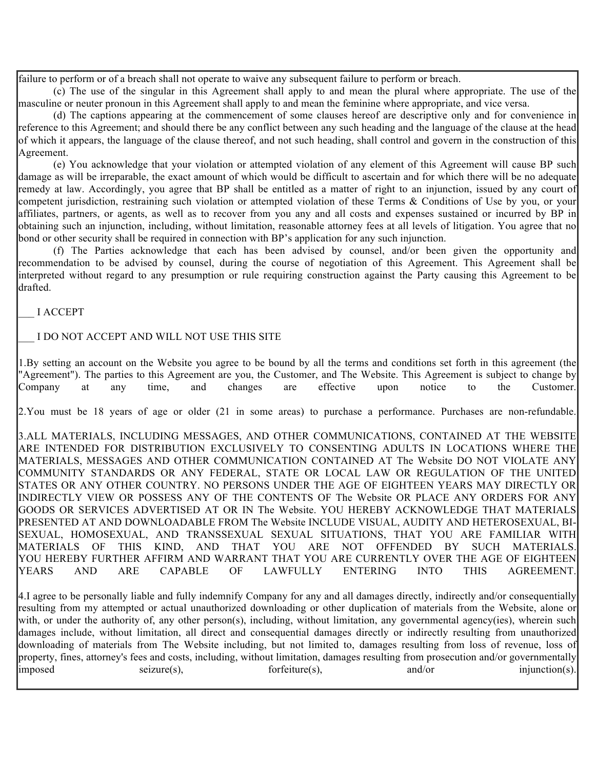failure to perform or of a breach shall not operate to waive any subsequent failure to perform or breach.

(c) The use of the singular in this Agreement shall apply to and mean the plural where appropriate. The use of the masculine or neuter pronoun in this Agreement shall apply to and mean the feminine where appropriate, and vice versa.

(d) The captions appearing at the commencement of some clauses hereof are descriptive only and for convenience in reference to this Agreement; and should there be any conflict between any such heading and the language of the clause at the head of which it appears, the language of the clause thereof, and not such heading, shall control and govern in the construction of this Agreement.

(e) You acknowledge that your violation or attempted violation of any element of this Agreement will cause BP such damage as will be irreparable, the exact amount of which would be difficult to ascertain and for which there will be no adequate remedy at law. Accordingly, you agree that BP shall be entitled as a matter of right to an injunction, issued by any court of competent jurisdiction, restraining such violation or attempted violation of these Terms & Conditions of Use by you, or your affiliates, partners, or agents, as well as to recover from you any and all costs and expenses sustained or incurred by BP in obtaining such an injunction, including, without limitation, reasonable attorney fees at all levels of litigation. You agree that no bond or other security shall be required in connection with BP's application for any such injunction.

(f) The Parties acknowledge that each has been advised by counsel, and/or been given the opportunity and recommendation to be advised by counsel, during the course of negotiation of this Agreement. This Agreement shall be interpreted without regard to any presumption or rule requiring construction against the Party causing this Agreement to be drafted.

\_\_\_ I ACCEPT

\_\_\_ I DO NOT ACCEPT AND WILL NOT USE THIS SITE

1.By setting an account on the Website you agree to be bound by all the terms and conditions set forth in this agreement (the "Agreement"). The parties to this Agreement are you, the Customer, and The Website. This Agreement is subject to change by Company at any time, and changes are effective upon notice to the Customer.

2.You must be 18 years of age or older (21 in some areas) to purchase a performance. Purchases are non-refundable.

3.ALL MATERIALS, INCLUDING MESSAGES, AND OTHER COMMUNICATIONS, CONTAINED AT THE WEBSITE ARE INTENDED FOR DISTRIBUTION EXCLUSIVELY TO CONSENTING ADULTS IN LOCATIONS WHERE THE MATERIALS, MESSAGES AND OTHER COMMUNICATION CONTAINED AT The Website DO NOT VIOLATE ANY COMMUNITY STANDARDS OR ANY FEDERAL, STATE OR LOCAL LAW OR REGULATION OF THE UNITED STATES OR ANY OTHER COUNTRY. NO PERSONS UNDER THE AGE OF EIGHTEEN YEARS MAY DIRECTLY OR INDIRECTLY VIEW OR POSSESS ANY OF THE CONTENTS OF The Website OR PLACE ANY ORDERS FOR ANY GOODS OR SERVICES ADVERTISED AT OR IN The Website. YOU HEREBY ACKNOWLEDGE THAT MATERIALS PRESENTED AT AND DOWNLOADABLE FROM The Website INCLUDE VISUAL, AUDITY AND HETEROSEXUAL, BI-SEXUAL, HOMOSEXUAL, AND TRANSSEXUAL SEXUAL SITUATIONS, THAT YOU ARE FAMILIAR WITH MATERIALS OF THIS KIND, AND THAT YOU ARE NOT OFFENDED BY SUCH MATERIALS. YOU HEREBY FURTHER AFFIRM AND WARRANT THAT YOU ARE CURRENTLY OVER THE AGE OF EIGHTEEN YEARS AND ARE CAPABLE OF LAWFULLY ENTERING INTO THIS AGREEMENT.

4.I agree to be personally liable and fully indemnify Company for any and all damages directly, indirectly and/or consequentially resulting from my attempted or actual unauthorized downloading or other duplication of materials from the Website, alone or with, or under the authority of, any other person(s), including, without limitation, any governmental agency(ies), wherein such damages include, without limitation, all direct and consequential damages directly or indirectly resulting from unauthorized downloading of materials from The Website including, but not limited to, damages resulting from loss of revenue, loss of property, fines, attorney's fees and costs, including, without limitation, damages resulting from prosecution and/or governmentally imposed seizure(s), forfeiture(s), and/or injunction(s).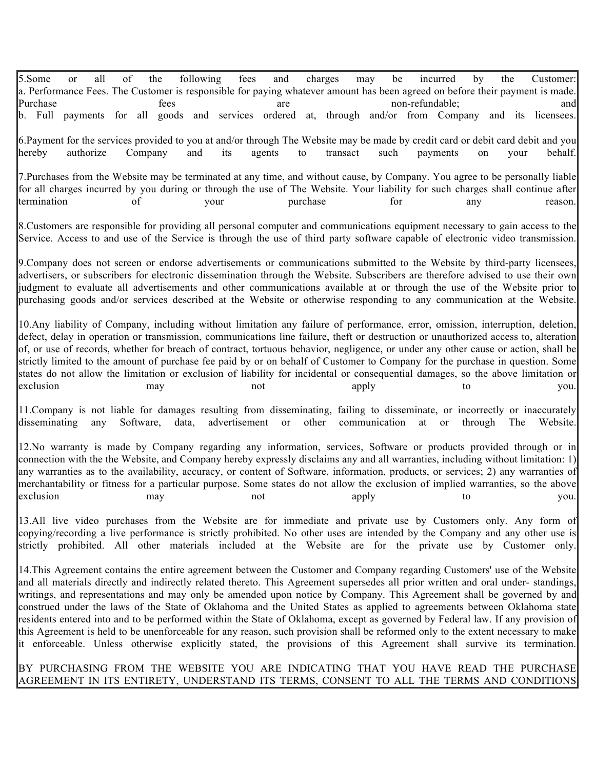5.Some or all of the following fees and charges may be incurred by the Customer: a. Performance Fees. The Customer is responsible for paying whatever amount has been agreed on before their payment is made. Purchase are fees are non-refundable; and non-refundable; and non-refundable; and b. Full payments for all goods and services ordered at, through and/or from Company and its licensees.

6.Payment for the services provided to you at and/or through The Website may be made by credit card or debit card debit and you hereby authorize Company and its agents to transact such payments on your behalf.

7.Purchases from the Website may be terminated at any time, and without cause, by Company. You agree to be personally liable for all charges incurred by you during or through the use of The Website. Your liability for such charges shall continue after termination of your purchase for any reason.

8.Customers are responsible for providing all personal computer and communications equipment necessary to gain access to the Service. Access to and use of the Service is through the use of third party software capable of electronic video transmission.

9.Company does not screen or endorse advertisements or communications submitted to the Website by third-party licensees, advertisers, or subscribers for electronic dissemination through the Website. Subscribers are therefore advised to use their own judgment to evaluate all advertisements and other communications available at or through the use of the Website prior to purchasing goods and/or services described at the Website or otherwise responding to any communication at the Website.

10.Any liability of Company, including without limitation any failure of performance, error, omission, interruption, deletion, defect, delay in operation or transmission, communications line failure, theft or destruction or unauthorized access to, alteration of, or use of records, whether for breach of contract, tortuous behavior, negligence, or under any other cause or action, shall be strictly limited to the amount of purchase fee paid by or on behalf of Customer to Company for the purchase in question. Some states do not allow the limitation or exclusion of liability for incidental or consequential damages, so the above limitation or exclusion may may not apply to you.

11. Company is not liable for damages resulting from disseminating, failing to disseminate, or incorrectly or inaccurately disseminating any Software, data, advertisement or other communication at or through The Website. disseminating any Software, data, advertisement or other communication at or through The Website.

12.No warranty is made by Company regarding any information, services, Software or products provided through or in connection with the the Website, and Company hereby expressly disclaims any and all warranties, including without limitation: 1) any warranties as to the availability, accuracy, or content of Software, information, products, or services; 2) any warranties of merchantability or fitness for a particular purpose. Some states do not allow the exclusion of implied warranties, so the above exclusion may may not apply to you.

13.All live video purchases from the Website are for immediate and private use by Customers only. Any form of copying/recording a live performance is strictly prohibited. No other uses are intended by the Company and any other use is strictly prohibited. All other materials included at the Website are for the private use by Customer only.

14.This Agreement contains the entire agreement between the Customer and Company regarding Customers' use of the Website and all materials directly and indirectly related thereto. This Agreement supersedes all prior written and oral under- standings, writings, and representations and may only be amended upon notice by Company. This Agreement shall be governed by and construed under the laws of the State of Oklahoma and the United States as applied to agreements between Oklahoma state residents entered into and to be performed within the State of Oklahoma, except as governed by Federal law. If any provision of this Agreement is held to be unenforceable for any reason, such provision shall be reformed only to the extent necessary to make it enforceable. Unless otherwise explicitly stated, the provisions of this Agreement shall survive its termination.

### BY PURCHASING FROM THE WEBSITE YOU ARE INDICATING THAT YOU HAVE READ THE PURCHASE AGREEMENT IN ITS ENTIRETY, UNDERSTAND ITS TERMS, CONSENT TO ALL THE TERMS AND CONDITIONS